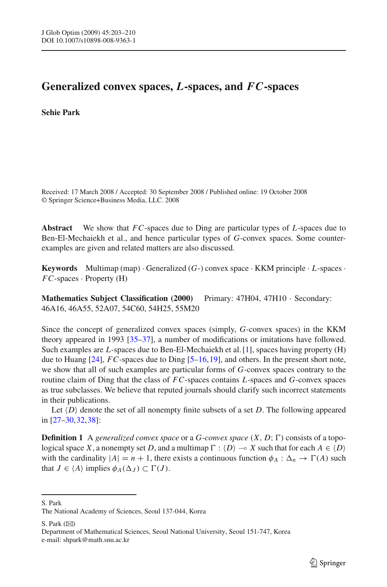# **Generalized convex spaces,** *L***-spaces, and** *F C***-spaces**

## **Sehie Park**

Received: 17 March 2008 / Accepted: 30 September 2008 / Published online: 19 October 2008 © Springer Science+Business Media, LLC. 2008

**Abstract** We show that *FC*-spaces due to Ding are particular types of *L*-spaces due to Ben-El-Mechaiekh et al., and hence particular types of *G*-convex spaces. Some counterexamples are given and related matters are also discussed.

**Keywords** Multimap (map)  $\cdot$  Generalized (*G*-) convex space  $\cdot$  KKM principle  $\cdot$  *L*-spaces  $\cdot$ *FC*-spaces · Property (H)

**Mathematics Subject Classification (2000)** Primary: 47H04, 47H10 · Secondary: 46A16, 46A55, 52A07, 54C60, 54H25, 55M20

Since the concept of generalized convex spaces (simply, *G*-convex spaces) in the KKM theory appeared in 1993 [\[35](#page-6-0)[–37](#page-6-1)], a number of modifications or imitations have followed. Such examples are *L*-spaces due to Ben-El-Mechaiekh et al. [\[1](#page-5-0)], spaces having property (H) due to Huang [\[24](#page-6-2)], *FC*-spaces due to Ding [\[5](#page-5-1)[–16](#page-6-3), 19], and others. In the present short note, we show that all of such examples are particular forms of *G*-convex spaces contrary to the routine claim of Ding that the class of *FC*-spaces contains *L*-spaces and *G*-convex spaces as true subclasses. We believe that reputed journals should clarify such incorrect statements in their publications.

Let  $\langle D \rangle$  denote the set of all nonempty finite subsets of a set *D*. The following appeared in [\[27](#page-6-5)[–30,](#page-6-6)[32](#page-6-7)[,38\]](#page-7-0):

**Definition 1** A *generalized convex space* or a *G*-*convex space*  $(X, D; \Gamma)$  consists of a topological space *X*, a nonempty set *D*, and a multimap  $\Gamma : \langle D \rangle \to X$  such that for each  $A \in \langle D \rangle$ with the cardinality  $|A| = n + 1$ , there exists a continuous function  $\phi_A : \Delta_n \to \Gamma(A)$  such that  $J \in \langle A \rangle$  implies  $\phi_A(\Delta_J) \subset \Gamma(J)$ .

S. Park

S. Park  $(\boxtimes)$ 

The National Academy of Sciences, Seoul 137-044, Korea

Department of Mathematical Sciences, Seoul National University, Seoul 151-747, Korea e-mail: shpark@math.snu.ac.kr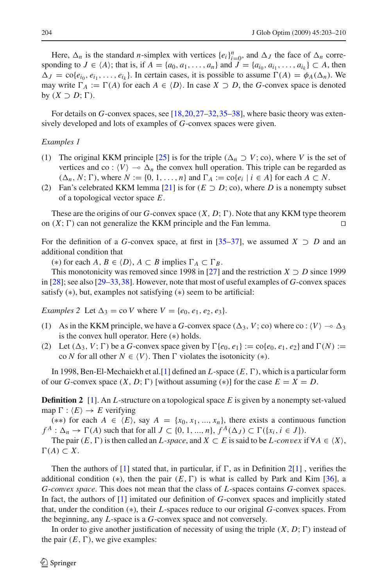Here,  $\Delta_n$  is the standard *n*-simplex with vertices  $\{e_i\}_{i=0}^n$ , and  $\Delta_j$  the face of  $\Delta_n$  corresponding to  $J \in \{A\}$ ; that is, if  $A = \{a_0, a_1, ..., a_n\}$  and  $J = \{a_{i_0}, a_{i_1}, ..., a_{i_k}\} \subset A$ , then  $\Delta J = \text{co}\{e_{i0}, e_{i1}, \ldots, e_{i_k}\}$ . In certain cases, it is possible to assume  $\Gamma(A) = \phi_A(\Delta_n)$ . We may write  $\Gamma_A := \Gamma(A)$  for each  $A \in \langle D \rangle$ . In case  $X \supset D$ , the *G*-convex space is denoted by  $(X \supset D; \Gamma)$ .

For details on *G*-convex spaces, see [\[18,](#page-6-8)[20](#page-6-9)[,27](#page-6-5)[–32](#page-6-7)[,35](#page-6-0)[–38\]](#page-7-0), where basic theory was extensively developed and lots of examples of *G*-convex spaces were given.

#### *Examples 1*

- (1) The original KKM principle [\[25\]](#page-6-10) is for the triple  $(\Delta_n \supset V; \text{co})$ , where *V* is the set of vertices and co :  $\langle V \rangle \rightarrow \Delta_n$  the convex hull operation. This triple can be regarded as  $(\Delta_n, N; \Gamma)$ , where  $N := \{0, 1, \ldots, n\}$  and  $\Gamma_A := \text{co}\{e_i \mid i \in A\}$  for each  $A \subset N$ .
- (2) Fan's celebrated KKM lemma [\[21](#page-6-11)] is for  $(E \supset D; \text{co})$ , where *D* is a nonempty subset of a topological vector space *E*.

These are the origins of our *G*-convex space  $(X, D; \Gamma)$ . Note that any KKM type theorem on  $(X; \Gamma)$  can not generalize the KKM principle and the Fan lemma.

For the definition of a *G*-convex space, at first in [\[35](#page-6-0)[–37\]](#page-6-1), we assumed  $X \supset D$  and an additional condition that

(\*) for each *A*, *B* ∈  $\langle D \rangle$ , *A* ⊂ *B* implies  $\Gamma_A \subset \Gamma_B$ .

This monotonicity was removed since 1998 in [\[27\]](#page-6-5) and the restriction  $X \supset D$  since 1999 in [\[28](#page-6-12)]; see also [\[29](#page-6-13)[–33,](#page-6-14)[38](#page-7-0)]. However, note that most of useful examples of *G*-convex spaces satisfy (∗), but, examples not satisfying (∗) seem to be artificial:

<span id="page-1-1"></span>*Examples* 2 Let  $\Delta_3 = \text{co } V$  where  $V = \{e_0, e_1, e_2, e_3\}.$ 

- (1) As in the KKM principle, we have a *G*-convex space  $(\Delta_3, V; \text{co})$  where co:  $\langle V \rangle \rightarrow \Delta_3$ is the convex hull operator. Here (∗) holds.
- (2) Let  $(\Delta_3, V; \Gamma)$  be a *G*-convex space given by  $\Gamma\{e_0, e_1\} := \text{co}\{e_0, e_1, e_2\}$  and  $\Gamma(N) :=$ co *N* for all other  $N \in \langle V \rangle$ . Then  $\Gamma$  violates the isotonicity (\*).

In 1998, Ben-El-Mechaiekh et al. [\[1\]](#page-5-0) defined an  $L$ -space  $(E, \Gamma)$ , which is a particular form of our *G*-convex space  $(X, D; \Gamma)$  [without assuming  $(*)$ ] for the case  $E = X = D$ .

<span id="page-1-0"></span>**Definition 2** [\[1](#page-5-0)]. An *L*-structure on a topological space *E* is given by a nonempty set-valued map  $\Gamma$  :  $\langle E \rangle \rightarrow E$  verifying

 $(**)$  for each *A* ∈  $\langle E \rangle$ , say *A* = {*x*<sub>0</sub>, *x*<sub>1</sub>, ..., *x<sub>n</sub>*}, there exists a continuous function  $f^A: \Delta_n \to \Gamma(A)$  such that for all  $J \subset \{0, 1, ..., n\}$ ,  $f^A(\Delta_J) \subset \Gamma(\{x_i, i \in J\})$ .

The pair  $(E, \Gamma)$  is then called an *L*-*space*, and  $X \subset E$  is said to be *L*-*convex* if  $\forall A \in \langle X \rangle$ ,  $\Gamma(A) \subset X$ .

Then the authors of  $[1]$  $[1]$  stated that, in particular, if  $\Gamma$ , as in Definition [2](#page-1-0)[\[1\]](#page-5-0), verifies the additional condition (\*), then the pair  $(E, \Gamma)$  is what is called by Park and Kim [\[36\]](#page-6-15), a *G*-*convex space*. This does not mean that the class of *L*-spaces contains *G*-convex spaces. In fact, the authors of [\[1](#page-5-0)] imitated our definition of *G*-convex spaces and implicitly stated that, under the condition (∗), their *L*-spaces reduce to our original *G*-convex spaces. From the beginning, any *L*-space is a *G*-convex space and not conversely.

In order to give another justification of necessity of using the triple  $(X, D; \Gamma)$  instead of the pair  $(E, \Gamma)$ , we give examples: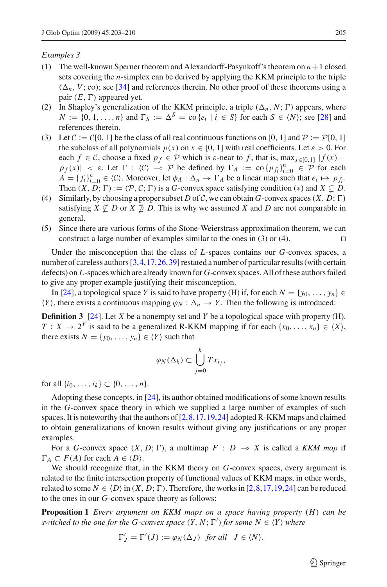### *Examples 3*

- (1) The well-known Sperner theorem and Alexandorff-Pasynkoff's theorem on *n*+1 closed sets covering the *n*-simplex can be derived by applying the KKM principle to the triple  $(\Delta_n, V; \text{co})$ ; see [\[34](#page-6-16)] and references therein. No other proof of these theorems using a pair  $(E, \Gamma)$  appeared yet.
- (2) In Shapley's generalization of the KKM principle, a triple  $(\Delta_n, N; \Gamma)$  appears, where *N* := {0, 1, ..., *n*} and  $\Gamma_S$  :=  $\Delta^S$  = co {*e<sub>i</sub>* | *i* ∈ *S*} for each *S* ∈  $\langle N \rangle$ ; see [\[28](#page-6-12)] and references therein.
- (3) Let  $C := C[0, 1]$  be the class of all real continuous functions on [0, 1] and  $P := P[0, 1]$ the subclass of all polynomials  $p(x)$  on  $x \in [0, 1]$  with real coefficients. Let  $\varepsilon > 0$ . For each  $f \in \mathcal{C}$ , choose a fixed  $p_f \in \mathcal{P}$  which is  $\varepsilon$ -near to f, that is, max $x \in [0,1]$  |  $f(x)$  −  $p_f(x)$  | < *ε*. Let  $\Gamma$  :  $\langle C \rangle$   $\rightarrow$  *P* be defined by  $\Gamma_A$  := co { $p_{f_i}$ } $_{i=0}^n \in \mathcal{P}$  for each  $A = \{f_i\}_{i=0}^n \in \langle C \rangle$ . Moreover, let  $\phi_A : \Delta_n \to \Gamma_A$  be a linear map such that  $e_i \mapsto p_{f_i}$ . Then  $(X, D; \Gamma) := (\mathcal{P}, \mathcal{C}; \Gamma)$  is a *G*-convex space satisfying condition (\*) and  $X \subseteq D$ .
- (4) Similarly, by choosing a proper subset *D* of *C*, we can obtain *G*-convex spaces  $(X, D; \Gamma)$ satisfying  $X \nsubseteq D$  or  $X \nsubseteq D$ . This is why we assumed X and D are not comparable in general.
- (5) Since there are various forms of the Stone-Weierstrass approximation theorem, we can construct a large number of examples similar to the ones in (3) or (4).  $\Box$

Under the misconception that the class of *L*-spaces contains our *G*-convex spaces, a number of careless authors [\[3,](#page-5-2) [4](#page-5-3), 17, 26, [39](#page-7-1)] restated a number of particular results (with certain defects) on *L*-spaces which are already known for *G*-convex spaces. All of these authors failed to give any proper example justifying their misconception.

In [\[24](#page-6-2)], a topological space *Y* is said to have property (H) if, for each  $N = \{y_0, \ldots, y_n\}$  $\langle Y \rangle$ , there exists a continuous mapping  $\varphi_N : \Delta_n \to Y$ . Then the following is introduced:

**Definition 3** [\[24\]](#page-6-2). Let *X* be a nonempty set and *Y* be a topological space with property (H). *T* : *X* → 2<sup>*Y*</sup> is said to be a generalized R-KKM mapping if for each {*x*<sub>0</sub>,..., *x<sub>n</sub>*} ∈  $\langle X \rangle$ , there exists  $N = \{y_0, \ldots, y_n\} \in \langle Y \rangle$  such that

$$
\varphi_N(\Delta_k) \subset \bigcup_{j=0}^k Tx_{i_j},
$$

for all  $\{i_0, \ldots, i_k\} \subset \{0, \ldots, n\}.$ 

Adopting these concepts, in [\[24\]](#page-6-2), its author obtained modifications of some known results in the *G*-convex space theory in which we supplied a large number of examples of such spaces. It is noteworthy that the authors of [\[2](#page-5-4)[,8](#page-6-19)[,17,](#page-6-17)[19](#page-6-4)[,24\]](#page-6-2) adopted R-KKM maps and claimed to obtain generalizations of known results without giving any justifications or any proper examples.

For a *G*-convex space  $(X, D; \Gamma)$ , a multimap  $F : D \multimap X$  is called a *KKM map* if  $\Gamma_A \subset F(A)$  for each  $A \in \langle D \rangle$ .

We should recognize that, in the KKM theory on *G*-convex spaces, every argument is related to the finite intersection property of functional values of KKM maps, in other words, related to some  $N \in \langle D \rangle$  in  $(X, D; \Gamma)$ . Therefore, the works in [\[2,](#page-5-4)[8](#page-6-19),[17](#page-6-17)[,19,](#page-6-4)[24](#page-6-2)] can be reduced to the ones in our *G*-convex space theory as follows:

**Proposition 1** *Every argument on KKM maps on a space having property* (*H*) *can be switched to the one for the G-convex space*  $(Y, N; \Gamma')$  *for some*  $N \in \langle Y \rangle$  *where* 

$$
\Gamma'_J=\Gamma'(J):=\varphi_N(\Delta_J)\;\; \text{for all}\;\; J\in \langle N\rangle.
$$

 $\circled{2}$  Springer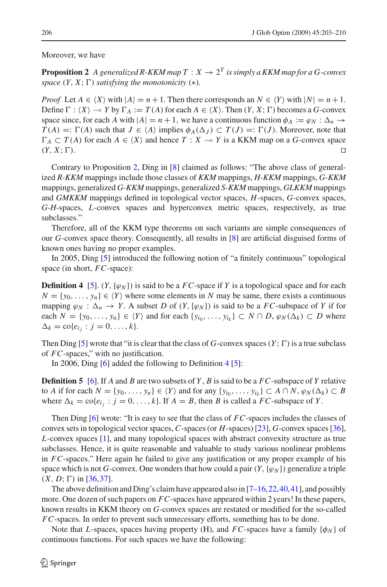### <span id="page-3-0"></span>Moreover, we have

**Proposition 2** A generalized R-KKM map  $T : X \rightarrow 2^Y$  is simply a KKM map for a G-convex *space*  $(Y, X; \Gamma)$  *satisfying the monotonicity*  $(*).$ 

*Proof* Let  $A \in \langle X \rangle$  with  $|A| = n + 1$ . Then there corresponds an  $N \in \langle Y \rangle$  with  $|N| = n + 1$ . Define  $\Gamma$  :  $\langle X \rangle \to Y$  by  $\Gamma_A := T(A)$  for each  $A \in \langle X \rangle$ . Then  $(Y, X; \Gamma)$  becomes a *G*-convex space since, for each *A* with  $|A| = n + 1$ , we have a continuous function  $\phi_A := \phi_N : \Delta_n \to \Delta_n$  $T(A) =: \Gamma(A)$  such that  $J \in \langle A \rangle$  implies  $\phi_A(\Delta_J) \subset T(J) =: \Gamma(J)$ . Moreover, note that  $\Gamma_A$  ⊂ *T*(*A*) for each *A* ∈  $\langle X \rangle$  and hence *T* : *X* → *Y* is a KKM map on a *G*-convex space  $(Y, X; \Gamma)$ .

Contrary to Proposition [2,](#page-3-0) Ding in [\[8\]](#page-6-19) claimed as follows: "The above class of generalized *R-KKM* mappings include those classes of *KKM* mappings, *H-KKM* mappings, *G-KKM* mappings, generalized *G-KKM* mappings, generalized *S-KKM* mappings, *GLKKM* mappings and *GMKKM* mappings defined in topological vector spaces, *H*-spaces, *G*-convex spaces, *G-H*-spaces, *L*-convex spaces and hyperconvex metric spaces, respectively, as true subclasses."

Therefore, all of the KKM type theorems on such variants are simple consequences of our *G*-convex space theory. Consequently, all results in [\[8](#page-6-19)] are artificial disguised forms of known ones having no proper examples.

<span id="page-3-1"></span>In 2005, Ding [\[5](#page-5-1)] introduced the following notion of "a finitely continuous" topological space (in short, *FC*-space):

**Definition 4** [\[5](#page-5-1)].  $(Y, \{\varphi_N\})$  is said to be a *FC*-space if *Y* is a topological space and for each  $N = \{y_0, \ldots, y_n\} \in \langle Y \rangle$  where some elements in *N* may be same, there exists a continuous mapping  $\varphi_N : \Delta_n \to Y$ . A subset *D* of  $(Y, {\varphi_N})$  is said to be a *FC*-subspace of *Y* if for each  $N = \{y_0, \ldots, y_n\} \in \langle Y \rangle$  and for each  $\{y_{i_0}, \ldots, y_{i_k}\} \subset N \cap D$ ,  $\varphi_N(\Delta_k) \subset D$  where  $\Delta_k = \text{co}\{e_i : j = 0, \ldots, k\}.$ 

Then Ding [\[5\]](#page-5-1) wrote that "it is clear that the class of  $G$ -convex spaces  $(Y; \Gamma)$  is a true subclass of *FC*-spaces," with no justification.

In 2006, Ding [\[6\]](#page-6-20) added the following to Definition [4](#page-3-1) [\[5](#page-5-1)]:

<span id="page-3-3"></span>**Definition 5** [\[6](#page-6-20)]. If *A* and *B* are two subsets of *Y* , *B* is said to be a *FC*-subspace of *Y* relative to *A* if for each  $N = \{y_0, \ldots, y_n\} \in \langle Y \rangle$  and for any  $\{y_{i_0}, \ldots, y_{i_k}\} \subset A \cap N$ ,  $\varphi_N(\Delta_k) \subset B$ where  $\Delta_k = \text{co}\lbrace e_i : j = 0, \ldots, k \rbrace$ . If  $A = B$ , then *B* is called a *FC*-subspace of *Y*.

Then Ding [\[6](#page-6-20)] wrote: "It is easy to see that the class of *FC*-spaces includes the classes of convex sets in topological vector spaces, *C*-spaces (or *H*-spaces) [\[23](#page-6-21)], *G*-convex spaces [\[36\]](#page-6-15), *L*-convex spaces [\[1](#page-5-0)], and many topological spaces with abstract convexity structure as true subclasses. Hence, it is quite reasonable and valuable to study various nonlinear problems in *FC*-spaces." Here again he failed to give any justification or any proper example of his space which is not *G*-convex. One wonders that how could a pair  $(Y, {\varphi_N})$  generalize a triple  $(X, D; \Gamma)$  in [\[36](#page-6-15)[,37\]](#page-6-1).

The above definition and Ding's claim have appeared also in  $[7-16, 22, 40, 41]$  $[7-16, 22, 40, 41]$  $[7-16, 22, 40, 41]$  $[7-16, 22, 40, 41]$ , and possibly more. One dozen of such papers on *FC*-spaces have appeared within 2 years! In these papers, known results in KKM theory on *G*-convex spaces are restated or modified for the so-called *FC*-spaces. In order to prevent such unnecessary efforts, something has to be done.

<span id="page-3-2"></span>Note that *L*-spaces, spaces having property (H), and *FC*-spaces have a family  $\{\phi_N\}$  of continuous functions. For such spaces we have the following: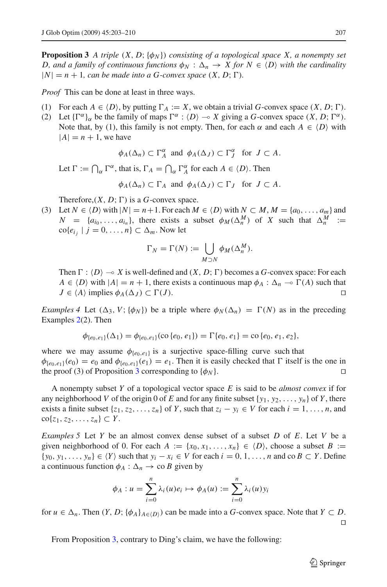**Proposition 3** *A triple*  $(X, D; \{\phi_N\})$  *consisting of a topological space* X, a nonempty set *D, and a family of continuous functions*  $\phi_N$  :  $\Delta_n \to X$  *for*  $N \in \langle D \rangle$  with the cardinality  $|N| = n + 1$ , can be made into a G-convex space  $(X, D; \Gamma)$ .

*Proof* This can be done at least in three ways.

- (1) For each  $A \in \{D\}$ , by putting  $\Gamma_A := X$ , we obtain a trivial *G*-convex space  $(X, D; \Gamma)$ .
- (2) Let  ${\{\Gamma^{\alpha}\}}_{\alpha}$  be the family of maps  $\Gamma^{\alpha}$  :  $\langle D \rangle \rightarrow X$  giving a *G*-convex space  $(X, D; \Gamma^{\alpha})$ . Note that, by (1), this family is not empty. Then, for each  $\alpha$  and each  $A \in \langle D \rangle$  with  $|A| = n + 1$ , we have

$$
\phi_A(\Delta_n) \subset \Gamma_A^{\alpha}
$$
 and  $\phi_A(\Delta_J) \subset \Gamma_J^{\alpha}$  for  $J \subset A$ .

Let  $\Gamma := \bigcap_{\alpha} \Gamma^{\alpha}$ , that is,  $\Gamma_A = \bigcap_{\alpha} \Gamma^{\alpha}_A$  for each  $A \in \langle D \rangle$ . Then

$$
\phi_A(\Delta_n) \subset \Gamma_A
$$
 and  $\phi_A(\Delta_J) \subset \Gamma_J$  for  $J \subset A$ .

Therefore,  $(X, D; \Gamma)$  is a *G*-convex space.

(3) Let  $N \in \{D\}$  with  $|N| = n+1$ . For each  $M \in \{D\}$  with  $N \subset M$ ,  $M = \{a_0, \ldots, a_m\}$  and  $N = \{a_{i_0}, \ldots, a_{i_n}\},\$  there exists a subset  $\phi_M(\Delta_n^M)$  of *X* such that  $\Delta_n^M :=$  $\text{co}\lbrace e_{i_j} \mid j = 0, \ldots, n \rbrace \subset \Delta_m$ . Now let

$$
\Gamma_N = \Gamma(N) := \bigcup_{M \supset N} \phi_M(\Delta_n^M).
$$

Then  $\Gamma$  :  $\langle D \rangle \rightarrow X$  is well-defined and  $(X, D; \Gamma)$  becomes a *G*-convex space: For each  $A \in \langle D \rangle$  with  $|A| = n + 1$ , there exists a continuous map  $\phi_A : \Delta_n \to \Gamma(A)$  such that  $J \in \langle A \rangle$  implies  $\phi_A(\Delta_J) \subset \Gamma(J)$ .

*Examples 4* Let  $(\Delta_3, V; {\phi_N})$  be a triple where  $\phi_N(\Delta_n) = \Gamma(N)$  as in the preceding Examples [2\(](#page-1-1)2). Then

$$
\phi_{\{e_0,e_1\}}(\Delta_1) = \phi_{\{e_0,e_1\}}(\text{co}\,\{e_0,e_1\}) = \Gamma\{e_0,e_1\} = \text{co}\,\{e_0,e_1,e_2\},
$$

where we may assume  $\phi_{\{e_0, e_1\}}$  is a surjective space-filling curve such that  $\phi_{\{e_0,e_1\}}(e_0) = e_0$  and  $\phi_{\{e_0,e_1\}}(e_1) = e_1$ . Then it is easily checked that  $\Gamma$  itself is the one in the proof ([3](#page-3-2)) of Proposition 3 corresponding to  $\{\phi_N\}$ .

A nonempty subset *Y* of a topological vector space *E* is said to be *almost convex* if for any neighborhood *V* of the origin 0 of *E* and for any finite subset  $\{y_1, y_2, \ldots, y_n\}$  of *Y*, there exists a finite subset  $\{z_1, z_2, \ldots, z_n\}$  of *Y*, such that  $z_i - y_i \in V$  for each  $i = 1, \ldots, n$ , and co{*z*1,*z*2,...,*zn*} ⊂ *Y* .

*Examples 5* Let *Y* be an almost convex dense subset of a subset *D* of *E*. Let *V* be a given neighborhood of 0. For each  $A := \{x_0, x_1, \ldots, x_n\} \in \langle D \rangle$ , choose a subset  $B :=$  ${y_0, y_1, \ldots, y_n} \in \langle Y \rangle$  such that  $y_i - x_i \in V$  for each  $i = 0, 1, \ldots, n$  and co  $B \subset Y$ . Define a continuous function  $\phi_A : \Delta_n \to \infty$  *B* given by

$$
\phi_A: u = \sum_{i=0}^n \lambda_i(u)e_i \mapsto \phi_A(u) := \sum_{i=0}^n \lambda_i(u)y_i
$$

for  $u \in \Delta_n$ . Then  $(Y, D; {\phi_A}_{A \in (D)})$  can be made into a *G*-convex space. Note that  $Y \subset D$ .  $\Box$ 

From Proposition [3,](#page-3-2) contrary to Ding's claim, we have the following: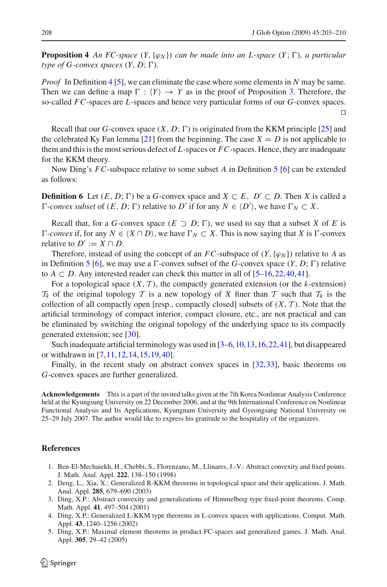**Proposition 4** An FC-space  $(Y, \{\varphi_N\})$  can be made into an L-space  $(Y, \Gamma)$ , a particular *type of G-convex spaces*  $(Y, D; \Gamma)$ *.* 

*Proof* In Definition [4](#page-3-1) [\[5\]](#page-5-1), we can eliminate the case where some elements in *N* may be same. Then we can define a map  $\Gamma : \langle Y \rangle \to Y$  as in the proof of Proposition [3.](#page-3-2) Therefore, the so-called *FC*-spaces are *L*-spaces and hence very particular forms of our *G*-convex spaces.  $\Box$ 

Recall that our *G*-convex space  $(X, D; \Gamma)$  is originated from the KKM principle [\[25](#page-6-10)] and the celebrated Ky Fan lemma [\[21\]](#page-6-11) from the beginning. The case  $X = D$  is not applicable to them and this is the most serious defect of *L*-spaces or *FC*-spaces. Hence, they are inadequate for the KKM theory.

Now Ding's *FC*-subspace relative to some subset *A* in Definition [5](#page-3-3) [\[6](#page-6-20)] can be extended as follows:

**Definition 6** Let  $(E, D; \Gamma)$  be a *G*-convex space and  $X \subset E$ ,  $D' \subset D$ . Then *X* is called a  $\Gamma$ -*convex subset* of  $(E, D; \Gamma)$  relative to  $D'$  if for any  $N \in \langle D' \rangle$ , we have  $\Gamma_N \subset X$ .

Recall that, for a *G*-convex space  $(E \supset D; \Gamma)$ , we used to say that a subset *X* of *E* is  $\Gamma$ -*convex* if, for any  $N \in \{X \cap D\}$ , we have  $\Gamma_N \subset X$ . This is now saying that *X* is  $\Gamma$ -convex relative to  $D' := X \cap D$ .

Therefore, instead of using the concept of an *FC*-subspace of  $(Y, \{\varphi_N\})$  relative to *A* as in Definition [5](#page-3-3) [\[6\]](#page-6-20), we may use a  $\Gamma$ -convex subset of the *G*-convex space  $(Y, D; \Gamma)$  relative to  $A \subset D$ . Any interested reader can check this matter in all of  $[5-16, 22, 40, 41]$  $[5-16, 22, 40, 41]$  $[5-16, 22, 40, 41]$ .

For a topological space  $(X, \mathcal{T})$ , the compactly generated extension (or the *k*-extension)  $T_k$  of the original topology *T* is a new topology of *X* finer than *T* such that  $T_k$  is the collection of all compactly open [resp., compactly closed] subsets of  $(X, \mathcal{T})$ . Note that the artificial terminology of compact interior, compact closure, etc., are not practical and can be eliminated by switching the original topology of the underlying space to its compactly generated extension; see [\[30\]](#page-6-6).

Such inadequate artificial terminology was used in [\[3](#page-5-2)[–6](#page-6-20)[,10](#page-6-24)[,13](#page-6-25),[16](#page-6-3)[,22,](#page-6-23)[41](#page-7-3)], but disappeared or withdrawn in [\[7,](#page-6-22)[11](#page-6-26)[,12](#page-6-27)[,14](#page-6-28),[15](#page-6-29)[,19,](#page-6-4)[40](#page-7-2)].

Finally, in the recent study on abstract convex spaces in [\[32](#page-6-7),[33](#page-6-14)], basic theorems on *G*-convex spaces are further generalized.

**Acknowledgements** This is a part of the invited talks given at the 7th Korea Nonlinear Analysis Conference held at the Kyungsung University on 22 December 2006, and at the 9th International Conference on Nonlinear Functional Analysis and Its Applications, Kyungnam University and Gyeongsang National University on 25–29 July 2007. The author would like to express his gratitude to the hospitality of the organizers.

#### <span id="page-5-0"></span>**References**

- 1. Ben-El-Mechaiekh, H., Chebbi, S., Florenzano, M., Llinares, J.-V.: Abstract convexity and fixed points. J. Math. Anal. Appl. **222**, 138–150 (1998)
- <span id="page-5-4"></span>2. Deng, L., Xia, X.: Generalized R-KKM theorems in topological space and their applications. J. Math. Anal. Appl. **285**, 679–690 (2003)
- <span id="page-5-2"></span>3. Ding, X.P.: Abstract convexity and generalizations of Himmelberg type fixed-point theorems. Comp. Math. Appl. **41**, 497–504 (2001)
- <span id="page-5-3"></span>4. Ding, X.P.: Generalized L-KKM type theorems in L-convex spaces with applications. Comput. Math. Appl. **43**, 1240–1256 (2002)
- <span id="page-5-1"></span>5. Ding, X.P.: Maximal element theorems in product FC-spaces and generalized games. J. Math. Anal. Appl. **305**, 29–42 (2005)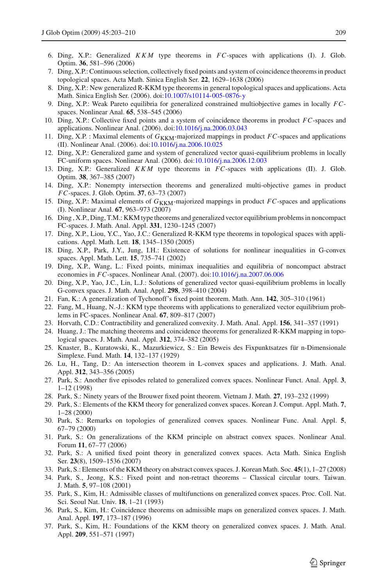- <span id="page-6-20"></span>6. Ding, X.P.: Generalized *KKM* type theorems in *FC*-spaces with applications (I). J. Glob. Optim. **36**, 581–596 (2006)
- <span id="page-6-22"></span>7. Ding, X.P.: Continuous selection, collectively fixed points and system of coincidence theorems in product topological spaces. Acta Math. Sinica English Ser. **22**, 1629–1638 (2006)
- <span id="page-6-19"></span>8. Ding, X.P.: New generalized R-KKM type theorems in general topological spaces and applications. Acta Math. Sinica English Ser. (2006). doi[:10.1007/s10114-005-0876-y](http://dx.doi.org/10.1007/s10114-005-0876-y)
- 9. Ding, X.P.: Weak Pareto equilibria for generalized constrained multiobjective games in locally *FC*spaces. Nonlinear Anal. **65**, 538–545 (2006)
- <span id="page-6-24"></span>10. Ding, X.P.: Collective fixed points and a system of coincidence theorems in product *FC*-spaces and applications. Nonlinear Anal. (2006). doi[:10.1016/j.na.2006.03.043](http://dx.doi.org/10.1016/j.na.2006.03.043)
- <span id="page-6-26"></span>11. Ding, X.P. : Maximal elements of  $G_{\kappa\kappa\text{M}}$ -majorized mappings in product *FC*-spaces and applications (II). Nonlinear Anal. (2006). doi[:10.1016/j.na.2006.10.025](http://dx.doi.org/10.1016/j.na.2006.10.025)
- <span id="page-6-27"></span>12. Ding, X.P.: Generalized game and system of generalized vector quasi-equilibrium problems in locally FC-uniform spaces. Nonlinear Anal. (2006). doi[:10.1016/j.na.2006.12.003](http://dx.doi.org/10.1016/j.na.2006.12.003)
- <span id="page-6-25"></span>13. Ding, X.P.: Generalized *KKM* type theorems in *FC*-spaces with applications (II). J. Glob. Optim. **38**, 367–385 (2007)
- <span id="page-6-28"></span>14. Ding, X.P.: Nonempty intersection theorems and generalized multi-objective games in product *FC*-spaces. J. Glob. Optim. **37**, 63–73 (2007)
- <span id="page-6-29"></span>15. Ding, X.P.: Maximal elements of  $G_{\text{KKM}}$ -majorized mappings in product *FC*-spaces and applications (I). Nonlinear Anal. **67**, 963–973 (2007)
- <span id="page-6-3"></span>16. Ding , X.P., Ding, T.M.: KKM type theorems and generalized vector equilibrium problems in noncompact FC-spaces. J. Math. Anal. Appl. **331**, 1230–1245 (2007)
- <span id="page-6-17"></span>17. Ding, X.P., Liou, Y.C., Yao, J.C.: Generalized R-KKM type theorems in topological spaces with applications. Appl. Math. Lett. **18**, 1345–1350 (2005)
- <span id="page-6-8"></span>18. Ding, X.P., Park, J.Y., Jung, I.H.: Existence of solutions for nonlinear inequalities in G-convex spaces. Appl. Math. Lett. **15**, 735–741 (2002)
- <span id="page-6-4"></span>19. Ding, X.P., Wang, L.: Fixed points, minimax inequalities and equilibria of noncompact abstract economies in *FC*-spaces. Nonlinear Anal. (2007). doi[:10.1016/j.na.2007.06.006](http://dx.doi.org/10.1016/j.na.2007.06.006)
- <span id="page-6-9"></span>20. Ding, X.P., Yao, J.C., Lin, L.J.: Solutions of generalized vector quasi-equilibrium problems in locally G-convex spaces. J. Math. Anal. Appl. **298**, 398–410 (2004)
- <span id="page-6-11"></span>21. Fan, K.: A generalization of Tychonoff's fixed point theorem. Math. Ann. **142**, 305–310 (1961)
- <span id="page-6-23"></span>22. Fang, M., Huang, N.-J.: KKM type theorems with applications to generalized vector equilibrium problems in FC-spaces. Nonlinear Anal. **67**, 809–817 (2007)
- 23. Horvath, C.D.: Contractibility and generalized convexity. J. Math. Anal. Appl. **156**, 341–357 (1991)
- <span id="page-6-21"></span><span id="page-6-2"></span>24. Huang, J.: The matching theorems and coincidence theorems for generalized R-KKM mapping in topological spaces. J. Math. Anal. Appl. **312**, 374–382 (2005)
- <span id="page-6-10"></span>25. Knaster, B., Kuratowski, K., Mazurkiewicz, S.: Ein Beweis des Fixpunktsatzes für n-Dimensionale Simplexe. Fund. Math. **14**, 132–137 (1929)
- <span id="page-6-18"></span>26. Lu, H., Tang, D.: An intersection theorem in L-convex spaces and applications. J. Math. Anal. Appl. **312**, 343–356 (2005)
- <span id="page-6-5"></span>27. Park, S.: Another five episodes related to generalized convex spaces. Nonlinear Funct. Anal. Appl. **3**, 1–12 (1998)
- <span id="page-6-12"></span>28. Park, S.: Ninety years of the Brouwer fixed point theorem. Vietnam J. Math. **27**, 193–232 (1999)
- <span id="page-6-13"></span>29. Park, S.: Elements of the KKM theory for generalized convex spaces. Korean J. Comput. Appl. Math. **7**, 1–28 (2000)
- <span id="page-6-6"></span>30. Park, S.: Remarks on topologies of generalized convex spaces. Nonlinear Func. Anal. Appl. **5**, 67–79 (2000)
- 31. Park, S.: On generalizations of the KKM principle on abstract convex spaces. Nonlinear Anal. Forum **11**, 67–77 (2006)
- <span id="page-6-7"></span>32. Park, S.: A unified fixed point theory in generalized convex spaces. Acta Math. Sinica English Ser. **23**(8), 1509–1536 (2007)
- <span id="page-6-14"></span>33. Park, S.: Elements of the KKM theory on abstract convex spaces. J. Korean Math. Soc. **45**(1), 1–27 (2008)
- <span id="page-6-16"></span>34. Park, S., Jeong, K.S.: Fixed point and non-retract theorems – Classical circular tours. Taiwan. J. Math. **5**, 97–108 (2001)
- <span id="page-6-0"></span>35. Park, S., Kim, H.: Admissible classes of multifunctions on generalized convex spaces. Proc. Coll. Nat. Sci. Seoul Nat. Univ. **18**, 1–21 (1993)
- <span id="page-6-15"></span>36. Park, S., Kim, H.: Coincidence theorems on admissible maps on generalized convex spaces. J. Math. Anal. Appl. **197**, 173–187 (1996)
- <span id="page-6-1"></span>37. Park, S., Kim, H.: Foundations of the KKM theory on generalized convex spaces. J. Math. Anal. Appl. **209**, 551–571 (1997)